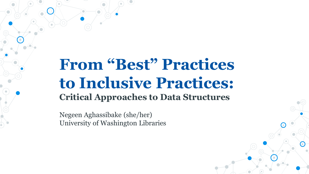# **From "Best" Practices to Inclusive Practices: Critical Approaches to Data Structures**

Negeen Aghassibake (she/her) University of Washington Libraries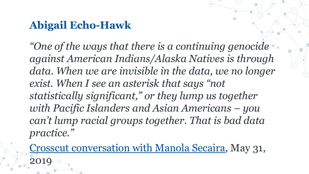## **Abigail Echo-Hawk**

*"One of the ways that there is a continuing genocide against American Indians/Alaska Natives is through data. When we are invisible in the data, we no longer exist. When I see an asterisk that says "not statistically significant," or they lump us together with Pacific Islanders and Asian Americans – you can't lump racial groups together. That is bad data practice."*

[Crosscut conversation with Manola Secaira,](https://crosscut.com/2019/05/abigail-echo-hawk-art-and-science-decolonizing-data) May 31, 2019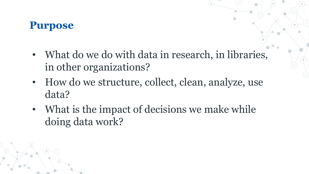#### **Purpose**

- What do we do with data in research, in libraries, in other organizations?
- How do we structure, collect, clean, analyze, use data?
- What is the impact of decisions we make while doing data work?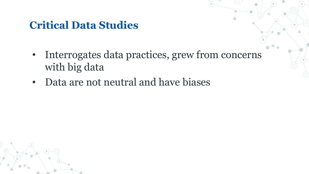## **Critical Data Studies**

- Interrogates data practices, grew from concerns with big data
- Data are not neutral and have biases

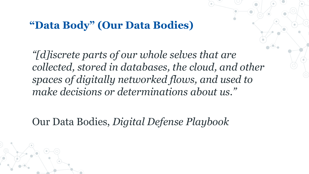#### **"Data Body" (Our Data Bodies)**

*"[d]iscrete parts of our whole selves that are collected, stored in databases, the cloud, and other spaces of digitally networked flows, and used to make decisions or determinations about us."*

Our Data Bodies, *Digital Defense Playbook*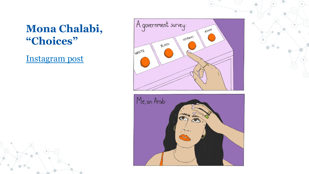## **Mona Chalabi, "Choices"**

[Instagram post](https://www.instagram.com/p/CGSUEFSF2q8/)



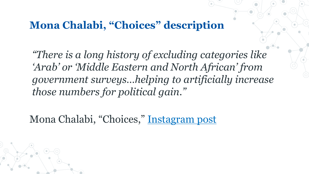#### **Mona Chalabi, "Choices" description**

*"There is a long history of excluding categories like 'Arab' or 'Middle Eastern and North African' from government surveys…helping to artificially increase those numbers for political gain."* 

Mona Chalabi, "Choices," [Instagram post](https://www.instagram.com/p/CGSUEFSF2q8/)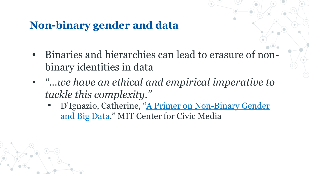## **Non-binary gender and data**

- Binaries and hierarchies can lead to erasure of nonbinary identities in data
- *"…we have an ethical and empirical imperative to tackle this complexity."*
	- [D'Ignazio, Catherine, "A Primer on Non-Binary Gender](https://civic.mit.edu/2016/06/03/a-primer-on-non-binary-gender-and-big-data/)  and Big Data," MIT Center for Civic Media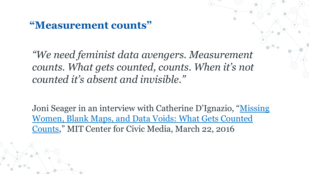#### **"Measurement counts"**

*"We need feminist data avengers. Measurement counts. What gets counted, counts. When it's not counted it's absent and invisible."*

[Joni Seager in an interview with Catherine D'Ignazio, "Missing](https://civic.mit.edu/2016/03/22/missing-women-blank-maps-and-data-voids-what-gets-counted-counts/) Women, Blank Maps, and Data Voids: What Gets Counted Counts," MIT Center for Civic Media, March 22, 2016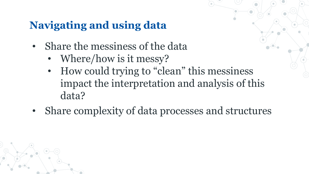## **Navigating and using data**

- Share the messiness of the data
	- Where/how is it messy?
	- How could trying to "clean" this messiness impact the interpretation and analysis of this data?
- Share complexity of data processes and structures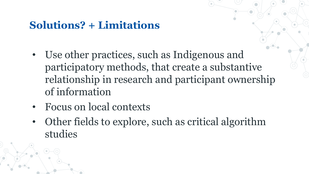## **Solutions? + Limitations**

- Use other practices, such as Indigenous and participatory methods, that create a substantive relationship in research and participant ownership of information
- Focus on local contexts
- Other fields to explore, such as critical algorithm studies